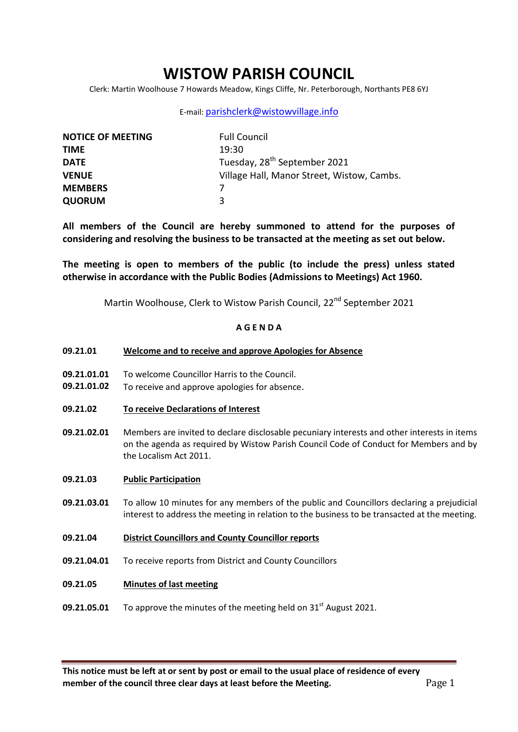# **WISTOW PARISH COUNCIL**

Clerk: Martin Woolhouse 7 Howards Meadow, Kings Cliffe, Nr. Peterborough, Northants PE8 6YJ

### E-mail: [parishclerk@wistowvillage.info](mailto:parishclerk@wistowvillage.info)

| <b>NOTICE OF MEETING</b> | <b>Full Council</b>                        |
|--------------------------|--------------------------------------------|
| <b>TIME</b>              | 19:30                                      |
| <b>DATE</b>              | Tuesday, 28 <sup>th</sup> September 2021   |
| <b>VENUE</b>             | Village Hall, Manor Street, Wistow, Cambs. |
| <b>MEMBERS</b>           |                                            |
| <b>QUORUM</b>            | ર                                          |

**All members of the Council are hereby summoned to attend for the purposes of considering and resolving the business to be transacted at the meeting as set out below.** 

**The meeting is open to members of the public (to include the press) unless stated otherwise in accordance with the Public Bodies (Admissions to Meetings) Act 1960.**

Martin Woolhouse, Clerk to Wistow Parish Council, 22<sup>nd</sup> September 2021

## **A G E N D A**

- **09.21.01 Welcome and to receive and approve Apologies for Absence**
- **09.21.01.01** To welcome Councillor Harris to the Council.
- **09.21.01.02** To receive and approve apologies for absence.
- **09.21.02 To receive Declarations of Interest**
- **09.21.02.01** Members are invited to declare disclosable pecuniary interests and other interests in items on the agenda as required by Wistow Parish Council Code of Conduct for Members and by the Localism Act 2011.
- **09.21.03 Public Participation**
- **09.21.03.01** To allow 10 minutes for any members of the public and Councillors declaring a prejudicial interest to address the meeting in relation to the business to be transacted at the meeting.
- **09.21.04 District Councillors and County Councillor reports**
- **09.21.04.01** To receive reports from District and County Councillors
- **09.21.05 Minutes of last meeting**
- **09.21.05.01** To approve the minutes of the meeting held on  $31<sup>st</sup>$  August 2021.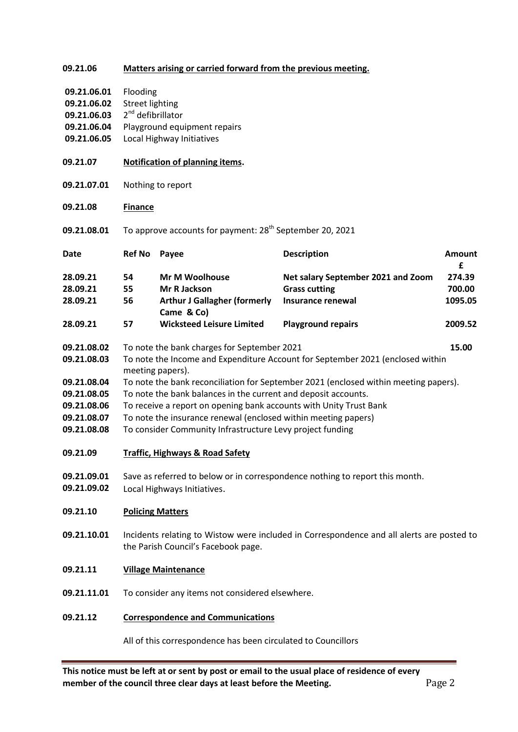| 09.21.06                                                                               | Matters arising or carried forward from the previous meeting.                                                                                                                                                                                                                                                                                                                                                                                                |                                                                                            |                                                                                        |                             |  |
|----------------------------------------------------------------------------------------|--------------------------------------------------------------------------------------------------------------------------------------------------------------------------------------------------------------------------------------------------------------------------------------------------------------------------------------------------------------------------------------------------------------------------------------------------------------|--------------------------------------------------------------------------------------------|----------------------------------------------------------------------------------------|-----------------------------|--|
| 09.21.06.01<br>09.21.06.02<br>09.21.06.03<br>09.21.06.04<br>09.21.06.05                | Flooding<br><b>Street lighting</b><br>2 <sup>nd</sup> defibrillator<br>Playground equipment repairs<br>Local Highway Initiatives                                                                                                                                                                                                                                                                                                                             |                                                                                            |                                                                                        |                             |  |
| 09.21.07                                                                               | Notification of planning items.                                                                                                                                                                                                                                                                                                                                                                                                                              |                                                                                            |                                                                                        |                             |  |
| 09.21.07.01                                                                            | Nothing to report                                                                                                                                                                                                                                                                                                                                                                                                                                            |                                                                                            |                                                                                        |                             |  |
| 09.21.08                                                                               | <b>Finance</b>                                                                                                                                                                                                                                                                                                                                                                                                                                               |                                                                                            |                                                                                        |                             |  |
| 09.21.08.01                                                                            | To approve accounts for payment: 28 <sup>th</sup> September 20, 2021                                                                                                                                                                                                                                                                                                                                                                                         |                                                                                            |                                                                                        |                             |  |
| <b>Date</b>                                                                            | <b>Ref No</b>                                                                                                                                                                                                                                                                                                                                                                                                                                                | Payee                                                                                      | <b>Description</b>                                                                     | <b>Amount</b><br>£          |  |
| 28.09.21<br>28.09.21<br>28.09.21                                                       | 54<br>55<br>56                                                                                                                                                                                                                                                                                                                                                                                                                                               | <b>Mr M Woolhouse</b><br>Mr R Jackson<br><b>Arthur J Gallagher (formerly</b><br>Came & Co) | Net salary September 2021 and Zoom<br><b>Grass cutting</b><br><b>Insurance renewal</b> | 274.39<br>700.00<br>1095.05 |  |
| 28.09.21                                                                               | 57                                                                                                                                                                                                                                                                                                                                                                                                                                                           | <b>Wicksteed Leisure Limited</b>                                                           | <b>Playground repairs</b>                                                              | 2009.52                     |  |
| 09.21.08.02<br>09.21.08.03<br>09.21.08.04<br>09.21.08.05<br>09.21.08.06<br>09.21.08.07 | To note the bank charges for September 2021<br>15.00<br>To note the Income and Expenditure Account for September 2021 (enclosed within<br>meeting papers).<br>To note the bank reconciliation for September 2021 (enclosed within meeting papers).<br>To note the bank balances in the current and deposit accounts.<br>To receive a report on opening bank accounts with Unity Trust Bank<br>To note the insurance renewal (enclosed within meeting papers) |                                                                                            |                                                                                        |                             |  |
| 09.21.08.08<br>09.21.09                                                                | To consider Community Infrastructure Levy project funding<br><b>Traffic, Highways &amp; Road Safety</b>                                                                                                                                                                                                                                                                                                                                                      |                                                                                            |                                                                                        |                             |  |
| 09.21.09.01<br>09.21.09.02                                                             | Save as referred to below or in correspondence nothing to report this month.<br>Local Highways Initiatives.                                                                                                                                                                                                                                                                                                                                                  |                                                                                            |                                                                                        |                             |  |
| 09.21.10                                                                               | <b>Policing Matters</b>                                                                                                                                                                                                                                                                                                                                                                                                                                      |                                                                                            |                                                                                        |                             |  |
| 09.21.10.01                                                                            | Incidents relating to Wistow were included in Correspondence and all alerts are posted to<br>the Parish Council's Facebook page.                                                                                                                                                                                                                                                                                                                             |                                                                                            |                                                                                        |                             |  |
| 09.21.11                                                                               | <b>Village Maintenance</b>                                                                                                                                                                                                                                                                                                                                                                                                                                   |                                                                                            |                                                                                        |                             |  |
| 09.21.11.01                                                                            | To consider any items not considered elsewhere.                                                                                                                                                                                                                                                                                                                                                                                                              |                                                                                            |                                                                                        |                             |  |
| 09.21.12                                                                               | <b>Correspondence and Communications</b>                                                                                                                                                                                                                                                                                                                                                                                                                     |                                                                                            |                                                                                        |                             |  |
|                                                                                        | All of this correspondence has been circulated to Councillors                                                                                                                                                                                                                                                                                                                                                                                                |                                                                                            |                                                                                        |                             |  |